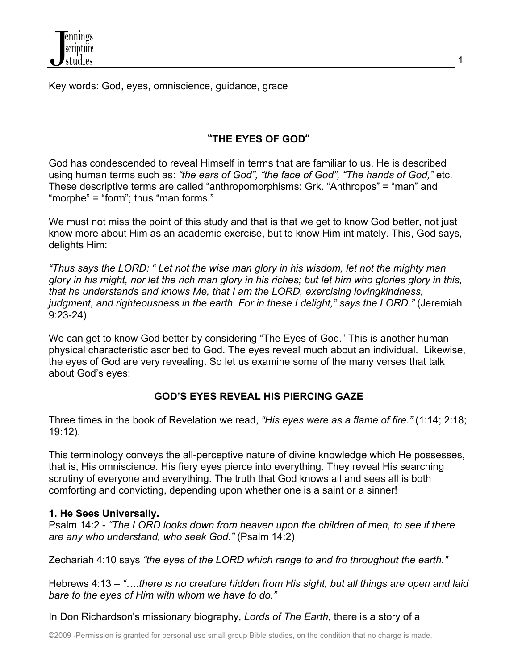Key words: God, eyes, omniscience, guidance, grace

# **"THE EYES OF GOD"**

God has condescended to reveal Himself in terms that are familiar to us. He is described using human terms such as: *"the ears of God", "the face of God", "The hands of God,"* etc. These descriptive terms are called "anthropomorphisms: Grk. "Anthropos" = "man" and "morphe" = "form"; thus "man forms."

We must not miss the point of this study and that is that we get to know God better, not just know more about Him as an academic exercise, but to know Him intimately. This, God says, delights Him:

*"Thus says the LORD: " Let not the wise man glory in his wisdom, let not the mighty man glory in his might, nor let the rich man glory in his riches; but let him who glories glory in this, that he understands and knows Me, that I am the LORD, exercising lovingkindness, judgment, and righteousness in the earth. For in these I delight," says the LORD."* (Jeremiah 9:23-24)

We can get to know God better by considering "The Eyes of God." This is another human physical characteristic ascribed to God. The eyes reveal much about an individual. Likewise, the eyes of God are very revealing. So let us examine some of the many verses that talk about God's eyes:

# **GOD'S EYES REVEAL HIS PIERCING GAZE**

Three times in the book of Revelation we read, *"His eyes were as a flame of fire."* (1:14; 2:18; 19:12).

This terminology conveys the all-perceptive nature of divine knowledge which He possesses, that is, His omniscience. His fiery eyes pierce into everything. They reveal His searching scrutiny of everyone and everything. The truth that God knows all and sees all is both comforting and convicting, depending upon whether one is a saint or a sinner!

## **1. He Sees Universally.**

Psalm 14:2 - *"The LORD looks down from heaven upon the children of men, to see if there are any who understand, who seek God."* (Psalm 14:2)

Zechariah 4:10 says *"the eyes of the LORD which range to and fro throughout the earth."*

Hebrews 4:13 – *"….there is no creature hidden from His sight, but all things are open and laid bare to the eyes of Him with whom we have to do."*

In Don Richardson's missionary biography, *Lords of The Earth*, there is a story of a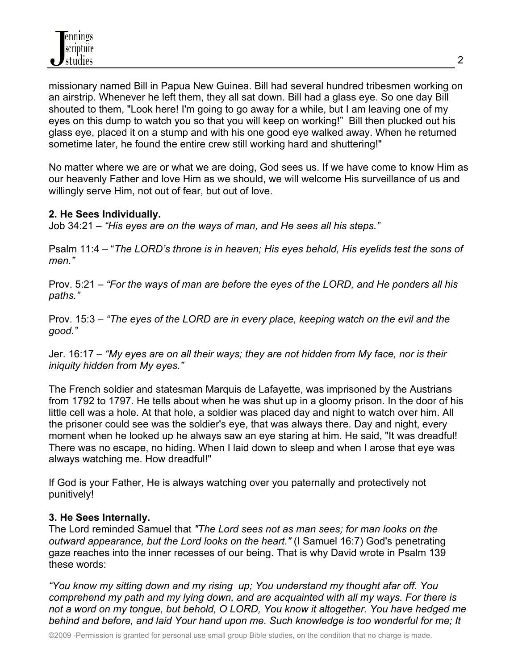missionary named Bill in Papua New Guinea. Bill had several hundred tribesmen working on an airstrip. Whenever he left them, they all sat down. Bill had a glass eye. So one day Bill shouted to them, "Look here! I'm going to go away for a while, but I am leaving one of my eyes on this dump to watch you so that you will keep on working!" Bill then plucked out his glass eye, placed it on a stump and with his one good eye walked away. When he returned sometime later, he found the entire crew still working hard and shuttering!"

No matter where we are or what we are doing, God sees us. If we have come to know Him as our heavenly Father and love Him as we should, we will welcome His surveillance of us and willingly serve Him, not out of fear, but out of love.

### **2. He Sees Individually.**

Job 34:21 – *"His eyes are on the ways of man, and He sees all his steps."*

Psalm 11:4 – "*The LORD's throne is in heaven; His eyes behold, His eyelids test the sons of men."*

Prov. 5:21 – *"For the ways of man are before the eyes of the LORD, and He ponders all his paths."*

Prov. 15:3 – *"The eyes of the LORD are in every place, keeping watch on the evil and the good."*

Jer. 16:17 – *"My eyes are on all their ways; they are not hidden from My face, nor is their iniquity hidden from My eyes."*

The French soldier and statesman Marquis de Lafayette, was imprisoned by the Austrians from 1792 to 1797. He tells about when he was shut up in a gloomy prison. In the door of his little cell was a hole. At that hole, a soldier was placed day and night to watch over him. All the prisoner could see was the soldier's eye, that was always there. Day and night, every moment when he looked up he always saw an eye staring at him. He said, "It was dreadful! There was no escape, no hiding. When I laid down to sleep and when I arose that eye was always watching me. How dreadful!"

If God is your Father, He is always watching over you paternally and protectively not punitively!

## **3. He Sees Internally.**

The Lord reminded Samuel that *"The Lord sees not as man sees; for man looks on the outward appearance, but the Lord looks on the heart."* (I Samuel 16:7) God's penetrating gaze reaches into the inner recesses of our being. That is why David wrote in Psalm 139 these words:

*"You know my sitting down and my rising up; You understand my thought afar off. You comprehend my path and my lying down, and are acquainted with all my ways. For there is not a word on my tongue, but behold, O LORD, You know it altogether. You have hedged me behind and before, and laid Your hand upon me. Such knowledge is too wonderful for me; It*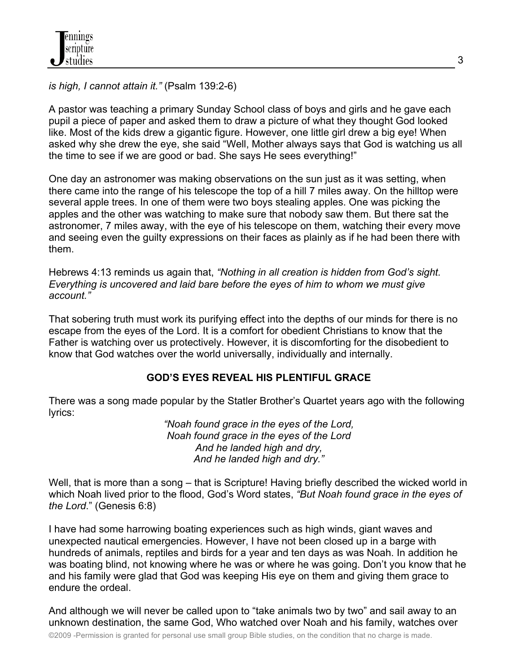*is high, I cannot attain it."* (Psalm 139:2-6)

A pastor was teaching a primary Sunday School class of boys and girls and he gave each pupil a piece of paper and asked them to draw a picture of what they thought God looked like. Most of the kids drew a gigantic figure. However, one little girl drew a big eye! When asked why she drew the eye, she said "Well, Mother always says that God is watching us all the time to see if we are good or bad. She says He sees everything!"

One day an astronomer was making observations on the sun just as it was setting, when there came into the range of his telescope the top of a hill 7 miles away. On the hilltop were several apple trees. In one of them were two boys stealing apples. One was picking the apples and the other was watching to make sure that nobody saw them. But there sat the astronomer, 7 miles away, with the eye of his telescope on them, watching their every move and seeing even the guilty expressions on their faces as plainly as if he had been there with them.

Hebrews 4:13 reminds us again that, *"Nothing in all creation is hidden from God's sight. Everything is uncovered and laid bare before the eyes of him to whom we must give account."*

That sobering truth must work its purifying effect into the depths of our minds for there is no escape from the eyes of the Lord. It is a comfort for obedient Christians to know that the Father is watching over us protectively. However, it is discomforting for the disobedient to know that God watches over the world universally, individually and internally.

## **GOD'S EYES REVEAL HIS PLENTIFUL GRACE**

There was a song made popular by the Statler Brother's Quartet years ago with the following lyrics:

*"Noah found grace in the eyes of the Lord, Noah found grace in the eyes of the Lord And he landed high and dry, And he landed high and dry."*

Well, that is more than a song – that is Scripture! Having briefly described the wicked world in which Noah lived prior to the flood, God's Word states, *"But Noah found grace in the eyes of the Lord*." (Genesis 6:8)

I have had some harrowing boating experiences such as high winds, giant waves and unexpected nautical emergencies. However, I have not been closed up in a barge with hundreds of animals, reptiles and birds for a year and ten days as was Noah. In addition he was boating blind, not knowing where he was or where he was going. Don't you know that he and his family were glad that God was keeping His eye on them and giving them grace to endure the ordeal.

And although we will never be called upon to "take animals two by two" and sail away to an unknown destination, the same God, Who watched over Noah and his family, watches over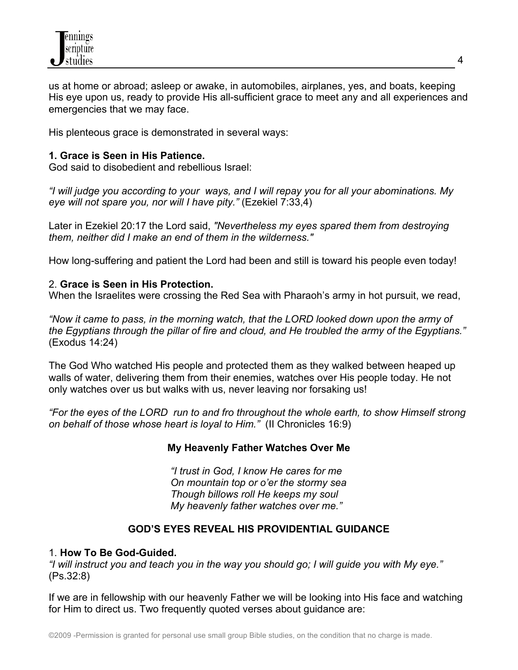

us at home or abroad; asleep or awake, in automobiles, airplanes, yes, and boats, keeping His eye upon us, ready to provide His all-sufficient grace to meet any and all experiences and emergencies that we may face.

His plenteous grace is demonstrated in several ways:

### **1. Grace is Seen in His Patience.**

God said to disobedient and rebellious Israel:

*"I will judge you according to your ways, and I will repay you for all your abominations. My eye will not spare you, nor will I have pity."* (Ezekiel 7:33,4)

Later in Ezekiel 20:17 the Lord said, *"Nevertheless my eyes spared them from destroying them, neither did I make an end of them in the wilderness."* 

How long-suffering and patient the Lord had been and still is toward his people even today!

#### 2. **Grace is Seen in His Protection.**

When the Israelites were crossing the Red Sea with Pharaoh's army in hot pursuit, we read,

*"Now it came to pass, in the morning watch, that the LORD looked down upon the army of the Egyptians through the pillar of fire and cloud, and He troubled the army of the Egyptians."* (Exodus 14:24)

The God Who watched His people and protected them as they walked between heaped up walls of water, delivering them from their enemies, watches over His people today. He not only watches over us but walks with us, never leaving nor forsaking us!

*"For the eyes of the LORD run to and fro throughout the whole earth, to show Himself strong on behalf of those whose heart is loyal to Him."* (II Chronicles 16:9)

#### **My Heavenly Father Watches Over Me**

*"I trust in God, I know He cares for me On mountain top or o'er the stormy sea Though billows roll He keeps my soul My heavenly father watches over me."*

## **GOD'S EYES REVEAL HIS PROVIDENTIAL GUIDANCE**

#### 1. **How To Be God-Guided.**

*"I will instruct you and teach you in the way you should go; I will guide you with My eye."*  (Ps.32:8)

If we are in fellowship with our heavenly Father we will be looking into His face and watching for Him to direct us. Two frequently quoted verses about guidance are: